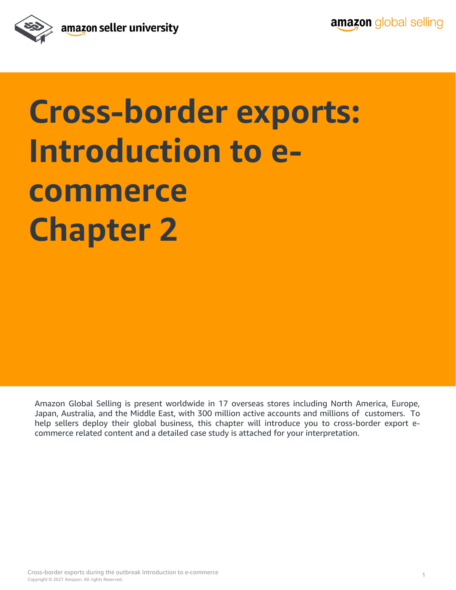

# **Cross-border exports: Introduction to ecommerce Chapter 2**

Amazon Global Selling is present worldwide in 17 overseas stores including North America, Europe, Japan, Australia, and the Middle East, with 300 million active accounts and millions of customers. To help sellers deploy their global business, this chapter will introduce you to cross-border export ecommerce related content and a detailed case study is attached for your interpretation.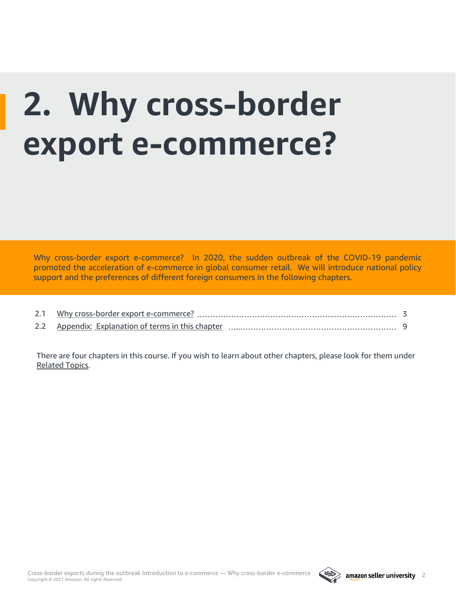# **2. Why cross-border export e-commerce?**

Why cross-border export e-commerce? In 2020, the sudden outbreak of the COVID-19 pandemic promoted the acceleration of e-commerce in global consumer retail. We will introduce national policy support and the preferences of different foreign consumers in the following chapters.

| 2.2 Appendix: Explanation of terms in this chapter |  |
|----------------------------------------------------|--|

There are four chapters in this course. If you wish to learn about other chapters, please look for them under [Related Topics.](#page-9-0)

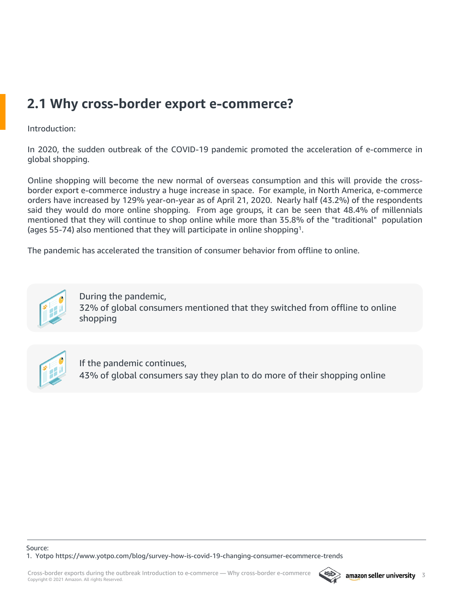# <span id="page-2-0"></span>**2.1 Why cross-border export e-commerce?**

# Introduction:

In 2020, the sudden outbreak of the COVID-19 pandemic promoted the acceleration of e-commerce in global shopping.

Online shopping will become the new normal of overseas consumption and this will provide the crossborder export e-commerce industry a huge increase in space. For example, in North America, e-commerce orders have increased by 129% year-on-year as of April 21, 2020. Nearly half (43.2%) of the respondents said they would do more online shopping. From age groups, it can be seen that 48.4% of millennials mentioned that they will continue to shop online while more than 35.8% of the "traditional" population (ages 55-74) also mentioned that they will participate in online shopping<sup>1</sup>.

The pandemic has accelerated the transition of consumer behavior from offline to online.



During the pandemic, 32% of global consumers mentioned that they switched from offline to online shopping



If the pandemic continues, 43% of global consumers say they plan to do more of their shopping online

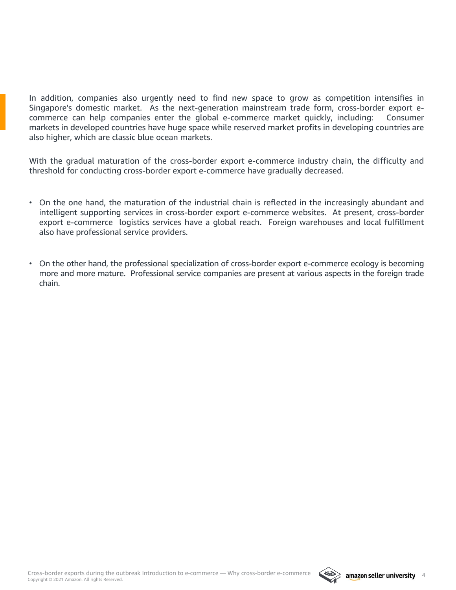In addition, companies also urgently need to find new space to grow as competition intensifies in Singapore's domestic market. As the next-generation mainstream trade form, cross-border export ecommerce can help companies enter the global e-commerce market quickly, including: Consumer markets in developed countries have huge space while reserved market profits in developing countries are also higher, which are classic blue ocean markets.

With the gradual maturation of the cross-border export e-commerce industry chain, the difficulty and threshold for conducting cross-border export e-commerce have gradually decreased.

- On the one hand, the maturation of the industrial chain is reflected in the increasingly abundant and intelligent supporting services in cross-border export e-commerce websites. At present, cross-border export e-commerce logistics services have a global reach. Foreign warehouses and local fulfillment also have professional service providers.
- On the other hand, the professional specialization of cross-border export e-commerce ecology is becoming more and more mature. Professional service companies are present at various aspects in the foreign trade chain.

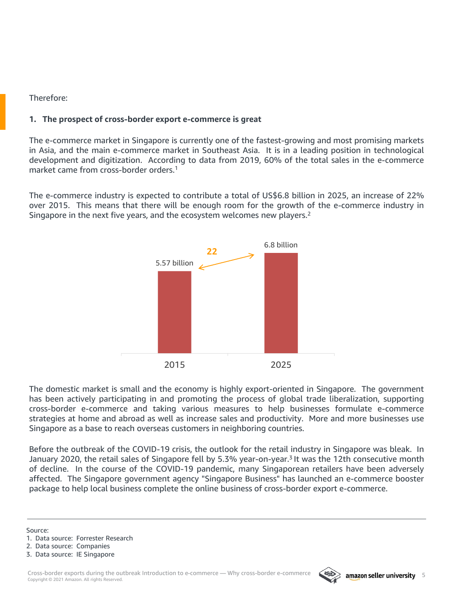## Therefore:

# **1. The prospect of cross-border export e-commerce is great**

The e-commerce market in Singapore is currently one of the fastest-growing and most promising markets in Asia, and the main e-commerce market in Southeast Asia. It is in a leading position in technological development and digitization. According to data from 2019, 60% of the total sales in the e-commerce market came from cross-border orders. 1

The e-commerce industry is expected to contribute a total of US\$6.8 billion in 2025, an increase of 22% over 2015. This means that there will be enough room for the growth of the e-commerce industry in Singapore in the next five years, and the ecosystem welcomes new players.<sup>2</sup>



The domestic market is small and the economy is highly export-oriented in Singapore. The government has been actively participating in and promoting the process of global trade liberalization, supporting cross-border e-commerce and taking various measures to help businesses formulate e-commerce strategies at home and abroad as well as increase sales and productivity. More and more businesses use Singapore as a base to reach overseas customers in neighboring countries.

Before the outbreak of the COVID-19 crisis, the outlook for the retail industry in Singapore was bleak. In January 2020, the retail sales of Singapore fell by 5.3% year-on-year.<sup>3</sup> It was the 12th consecutive month of decline. In the course of the COVID-19 pandemic, many Singaporean retailers have been adversely affected. The Singapore government agency "Singapore Business" has launched an e-commerce booster package to help local business complete the online business of cross-border export e-commerce.

Source:

- 2. Data source: Companies
- 3. Data source: IE Singapore



<sup>1.</sup> Data source: Forrester Research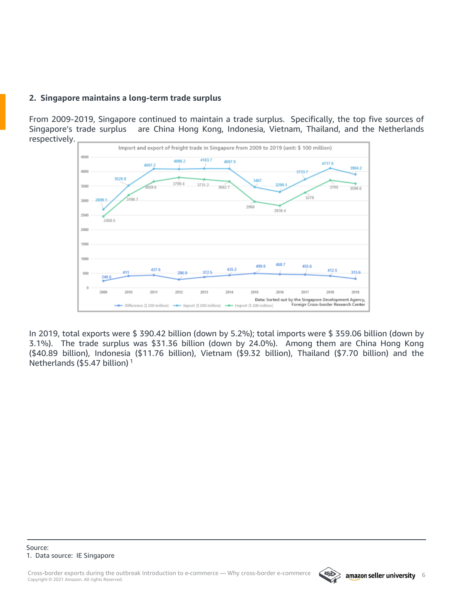# **2. Singapore maintains a long-term trade surplus**

From 2009-2019, Singapore continued to maintain a trade surplus. Specifically, the top five sources of Singapore's trade surplus are China Hong Kong, Indonesia, Vietnam, Thailand, and the Netherlands respectively.



In 2019, total exports were \$ 390.42 billion (down by 5.2%); total imports were \$ 359.06 billion (down by 3.1%). The trade surplus was \$31.36 billion (down by 24.0%). Among them are China Hong Kong (\$40.89 billion), Indonesia (\$11.76 billion), Vietnam (\$9.32 billion), Thailand (\$7.70 billion) and the Netherlands (\$5.47 billion) <sup>1</sup>

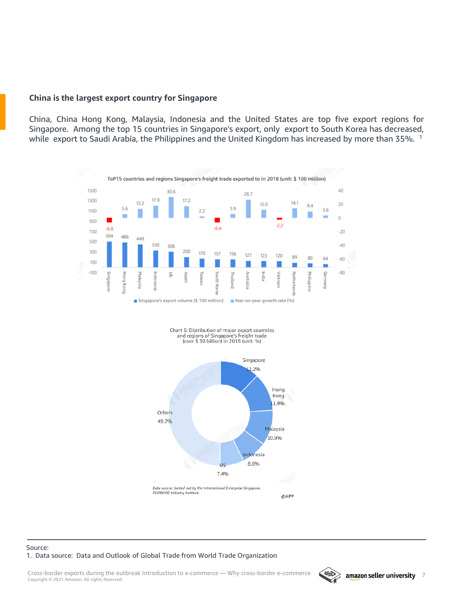### **China is the largest export country for Singapore**

China, China Hong Kong, Malaysia, Indonesia and the United States are top five export regions for Singapore. Among the top 15 countries in Singapore's export, only export to South Korea has decreased, while export to Saudi Arabia, the Philippines and the United Kingdom has increased by more than 35%. <sup>1</sup>







#### Source: 1. Data source: Data and Outlook of Global Trade from World Trade Organization

Copyright © 2021 Amazon. All rights Reserved. Cross-border exports during the outbreak Introduction to e-commerce — Why cross-border e-commerce and amazon seller university 7

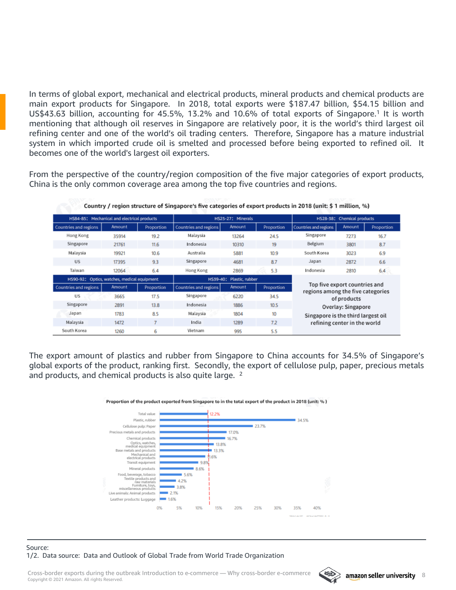In terms of global export, mechanical and electrical products, mineral products and chemical products are main export products for Singapore. In 2018, total exports were \$187.47 billion, \$54.15 billion and US\$43.63 billion, accounting for 45.5%, 13.2% and 10.6% of total exports of Singapore.<sup>1</sup> It is worth mentioning that although oil reserves in Singapore are relatively poor, it is the world's third largest oil refining center and one of the world's oil trading centers. Therefore, Singapore has a mature industrial system in which imported crude oil is smelted and processed before being exported to refined oil. It becomes one of the world's largest oil exporters.

From the perspective of the country/region composition of the five major categories of export products, China is the only common coverage area among the top five countries and regions.

Country / region structure of Singapore's five categories of export products in 2018 (unit: \$ 1 million %)

| commy program subcome or singupore's nee cacegoires or export produces in Long (annu y i micron) vol |                                              |            |                             |        |            |                                                                                          |        |            |  |  |  |
|------------------------------------------------------------------------------------------------------|----------------------------------------------|------------|-----------------------------|--------|------------|------------------------------------------------------------------------------------------|--------|------------|--|--|--|
|                                                                                                      | HSB4-85: Mechanical and electrical products  |            | HS25-27: Minerals           |        |            | HS28-38: Chemical products                                                               |        |            |  |  |  |
| <b>Countries and regions</b>                                                                         | Amount                                       | Proportion | Countries and regions       | Amount | Proportion | Countries and regions                                                                    | Amount | Proportion |  |  |  |
| Hong Kong                                                                                            | 35914                                        | 19.2       | Malaysia                    | 13264  | 24.5       | Singapore                                                                                | 7273   | 16.7       |  |  |  |
| Singapore                                                                                            | 21761                                        | 11.6       | Indonesia                   | 10310  | 19         | Belgium                                                                                  | 3801   | 8.7        |  |  |  |
| Malaysia                                                                                             | 19921                                        | 10.6       | Australia                   | 5881   | 10.9       | South Korea                                                                              | 3023   | 6.9        |  |  |  |
| US.                                                                                                  | 17395                                        | 9.3        | Singapore                   | 4681   | 8.7        | Japan                                                                                    | 2872   | 6.6        |  |  |  |
| Taiwan                                                                                               | 12064                                        | 6.4        | Hong Kong                   | 2869   | 5.3        | Indonesia                                                                                | 2810   | 6.4        |  |  |  |
|                                                                                                      | H\$90-92: Optics, watches, medical equipment |            | HS39-40:<br>Plastic, rubber |        |            |                                                                                          |        |            |  |  |  |
| Countries and regions                                                                                | Amount                                       | Proportion | Countries and regions       | Amount | Proportion | Top five export countries and<br>regions among the five categories                       |        |            |  |  |  |
| US                                                                                                   | 3665                                         | 17.5       | Singapore                   | 6220   | 34.5       | of products                                                                              |        |            |  |  |  |
| Singapore                                                                                            | 2891                                         | 13.8       | Indonesia                   | 1886   | 10.5       | Overlay: Singapore<br>Singapore is the third largest oil<br>refining center in the world |        |            |  |  |  |
| Japan                                                                                                | 1783                                         | 8.5        | Malaysia                    | 1804   | 10         |                                                                                          |        |            |  |  |  |
| Malaysia                                                                                             | 1472                                         | 7          | India                       | 1289   | 72         |                                                                                          |        |            |  |  |  |
| South Korea                                                                                          | 1260                                         | 6          | Vietnam                     | 995    | 5.5        |                                                                                          |        |            |  |  |  |

The export amount of plastics and rubber from Singapore to China accounts for 34.5% of Singapore's global exports of the product, ranking first. Secondly, the export of cellulose pulp, paper, precious metals



#### Proportion of the product exported from Singapore to in the total export of the product in 2018 (unit: %)

#### Source: 1/2. Data source: Data and Outlook of Global Trade from World Trade Organization

and products, and chemical products is also quite large. <sup>2</sup>

Copyright © 2021 Amazon. All rights Reserved. Cross-border exports during the outbreak Introduction to e-commerce — Why cross-border e-commerce and amazon seller university 8

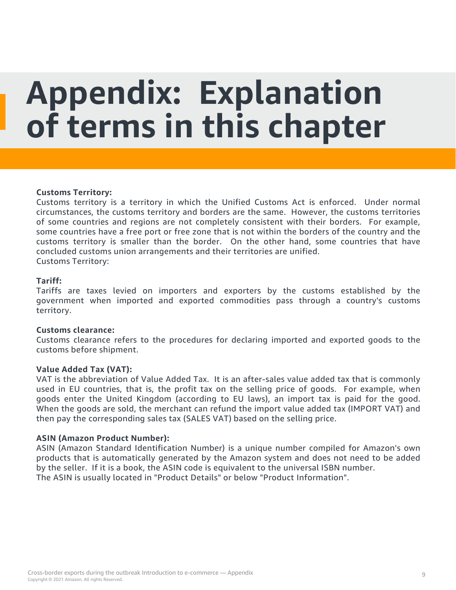# <span id="page-8-0"></span>**Appendix: Explanation of terms in this chapter**

### **Customs Territory:**

Customs territory is a territory in which the Unified Customs Act is enforced. Under normal circumstances, the customs territory and borders are the same. However, the customs territories of some countries and regions are not completely consistent with their borders. For example, some countries have a free port or free zone that is not within the borders of the country and the customs territory is smaller than the border. On the other hand, some countries that have concluded customs union arrangements and their territories are unified. Customs Territory:

### **Tariff:**

Tariffs are taxes levied on importers and exporters by the customs established by the government when imported and exported commodities pass through a country's customs territory.

### **Customs clearance:**

Customs clearance refers to the procedures for declaring imported and exported goods to the customs before shipment.

#### **Value Added Tax (VAT):**

VAT is the abbreviation of Value Added Tax. It is an after-sales value added tax that is commonly used in EU countries, that is, the profit tax on the selling price of goods. For example, when goods enter the United Kingdom (according to EU laws), an import tax is paid for the good. When the goods are sold, the merchant can refund the import value added tax (IMPORT VAT) and then pay the corresponding sales tax (SALES VAT) based on the selling price.

#### **ASIN (Amazon Product Number):**

ASIN (Amazon Standard Identification Number) is a unique number compiled for Amazon's own products that is automatically generated by the Amazon system and does not need to be added by the seller. If it is a book, the ASIN code is equivalent to the universal ISBN number. The ASIN is usually located in "Product Details" or below "Product Information".